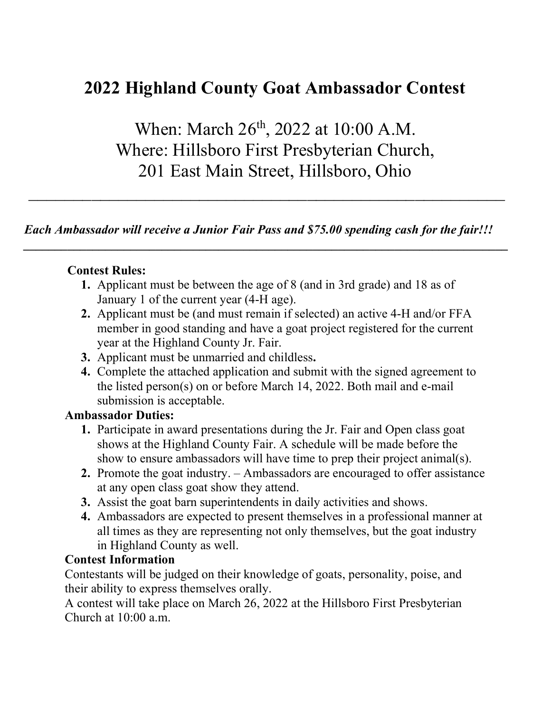## 2022 Highland County Goat Ambassador Contest

When: March 26<sup>th</sup>, 2022 at 10:00 A.M. Where: Hillsboro First Presbyterian Church, 201 East Main Street, Hillsboro, Ohio

 $\mathcal{L}_\text{max}$  and  $\mathcal{L}_\text{max}$  and  $\mathcal{L}_\text{max}$  and  $\mathcal{L}_\text{max}$  and  $\mathcal{L}_\text{max}$  and  $\mathcal{L}_\text{max}$ 

Each Ambassador will receive a Junior Fair Pass and \$75.00 spending cash for the fair!!!

## Contest Rules:

1. Applicant must be between the age of 8 (and in 3rd grade) and 18 as of January 1 of the current year (4-H age).

 $\mathcal{L}_\text{max}$  , and the contribution of the contribution of the contribution of the contribution of the contribution of the contribution of the contribution of the contribution of the contribution of the contribution of t

- 2. Applicant must be (and must remain if selected) an active 4-H and/or FFA member in good standing and have a goat project registered for the current year at the Highland County Jr. Fair.
- 3. Applicant must be unmarried and childless.
- 4. Complete the attached application and submit with the signed agreement to the listed person(s) on or before March 14, 2022. Both mail and e-mail submission is acceptable.

## Ambassador Duties:

- 1. Participate in award presentations during the Jr. Fair and Open class goat shows at the Highland County Fair. A schedule will be made before the show to ensure ambassadors will have time to prep their project animal(s).
- 2. Promote the goat industry. Ambassadors are encouraged to offer assistance at any open class goat show they attend.
- 3. Assist the goat barn superintendents in daily activities and shows.
- 4. Ambassadors are expected to present themselves in a professional manner at all times as they are representing not only themselves, but the goat industry in Highland County as well.

## Contest Information

Contestants will be judged on their knowledge of goats, personality, poise, and their ability to express themselves orally.

A contest will take place on March 26, 2022 at the Hillsboro First Presbyterian Church at 10:00 a.m.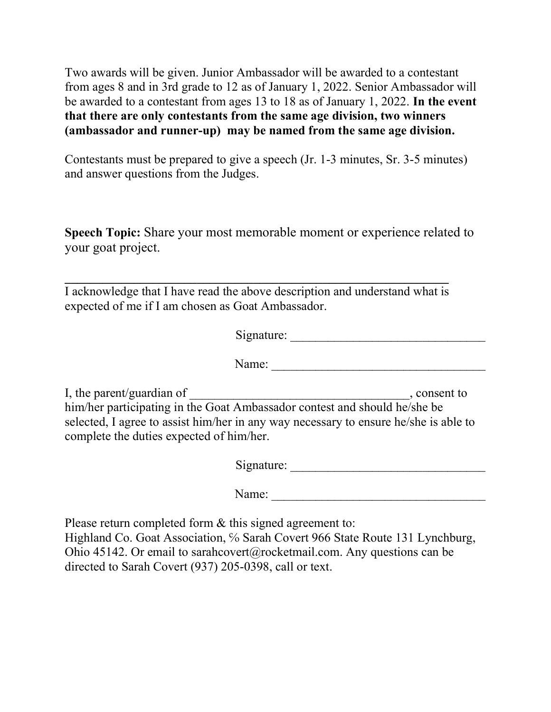Two awards will be given. Junior Ambassador will be awarded to a contestant from ages 8 and in 3rd grade to 12 as of January 1, 2022. Senior Ambassador will be awarded to a contestant from ages 13 to 18 as of January 1, 2022. In the event that there are only contestants from the same age division, two winners (ambassador and runner-up) may be named from the same age division.

Contestants must be prepared to give a speech (Jr. 1-3 minutes, Sr. 3-5 minutes) and answer questions from the Judges.

Speech Topic: Share your most memorable moment or experience related to your goat project.

I acknowledge that I have read the above description and understand what is expected of me if I am chosen as Goat Ambassador.

 $\mathcal{L}_\text{max}$  , and the contract of the contract of the contract of the contract of the contract of the contract of the contract of the contract of the contract of the contract of the contract of the contract of the contr

|                                                                       | Signature:                                                                                                                                                                        |
|-----------------------------------------------------------------------|-----------------------------------------------------------------------------------------------------------------------------------------------------------------------------------|
|                                                                       | Name:                                                                                                                                                                             |
| I, the parent/guardian of<br>complete the duties expected of him/her. | , consent to<br>him/her participating in the Goat Ambassador contest and should he/she be<br>selected, I agree to assist him/her in any way necessary to ensure he/she is able to |

Signature: \_\_\_\_\_\_\_\_\_\_\_\_\_\_\_\_\_\_\_\_\_\_\_\_\_\_\_\_\_\_\_

Name: \_\_\_\_\_\_\_\_\_\_\_\_\_\_\_\_\_\_\_\_\_\_\_\_\_\_\_\_\_\_\_\_\_\_

Please return completed form & this signed agreement to: Highland Co. Goat Association, % Sarah Covert 966 State Route 131 Lynchburg, Ohio 45142. Or email to sarahcovert@rocketmail.com. Any questions can be directed to Sarah Covert (937) 205-0398, call or text.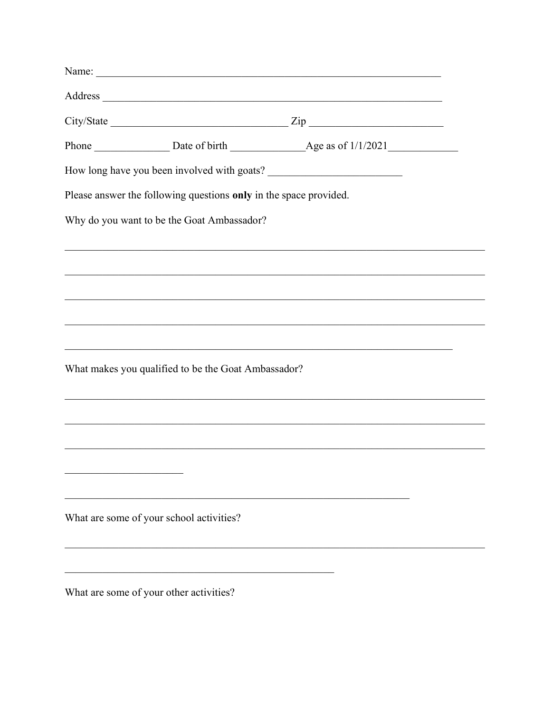| Name:                                                                                                  |  |  |
|--------------------------------------------------------------------------------------------------------|--|--|
|                                                                                                        |  |  |
| $City/State$ $\qquad \qquad \qquad \qquad \qquad \qquad \qquad \qquad \qquad \qquad \qquad \text{Zip}$ |  |  |
|                                                                                                        |  |  |
|                                                                                                        |  |  |
| Please answer the following questions only in the space provided.                                      |  |  |
| Why do you want to be the Goat Ambassador?                                                             |  |  |
|                                                                                                        |  |  |
|                                                                                                        |  |  |
|                                                                                                        |  |  |
| ,我们也不能在这里的时候,我们也不能在这里的时候,我们也不能会在这里的时候,我们也不能会在这里的时候,我们也不能会在这里的时候,我们也不能会在这里的时候,我们也不                      |  |  |
| ,我们也不能在这里的时候,我们也不能在这里的时候,我们也不能会在这里的时候,我们也不能会在这里的时候,我们也不能会在这里的时候,我们也不能会在这里的时候,我们也                       |  |  |
| What makes you qualified to be the Goat Ambassador?                                                    |  |  |
|                                                                                                        |  |  |
|                                                                                                        |  |  |
|                                                                                                        |  |  |
|                                                                                                        |  |  |
|                                                                                                        |  |  |
| What are some of your school activities?                                                               |  |  |
|                                                                                                        |  |  |
|                                                                                                        |  |  |
| What are some of your other activities?                                                                |  |  |